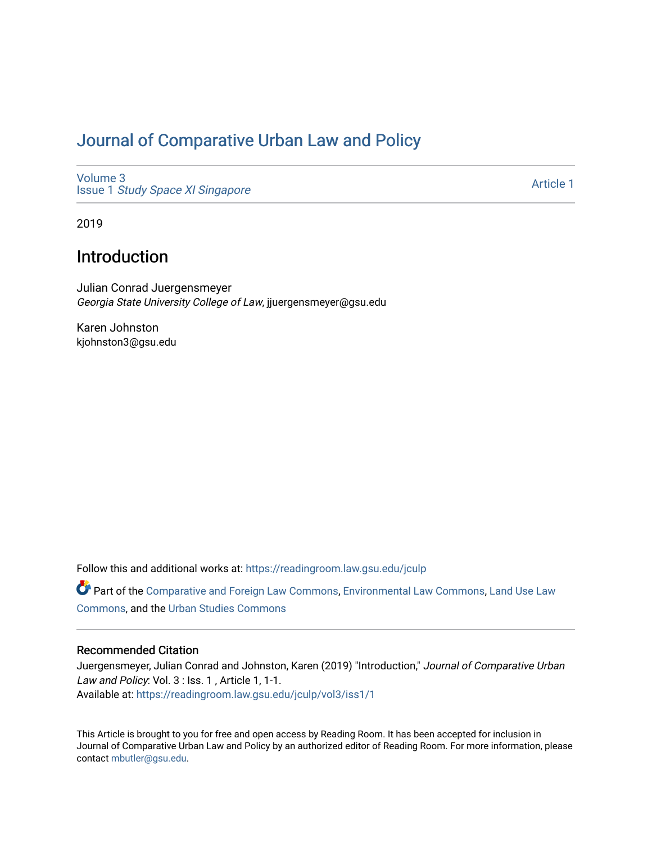## [Journal of Comparative Urban Law and Policy](https://readingroom.law.gsu.edu/jculp)

[Volume 3](https://readingroom.law.gsu.edu/jculp/vol3) Issue 1 [Study Space XI Singapore](https://readingroom.law.gsu.edu/jculp/vol3/iss1)

[Article 1](https://readingroom.law.gsu.edu/jculp/vol3/iss1/1) 

2019

## Introduction

Julian Conrad Juergensmeyer Georgia State University College of Law, jjuergensmeyer@gsu.edu

Karen Johnston kjohnston3@gsu.edu

Follow this and additional works at: [https://readingroom.law.gsu.edu/jculp](https://readingroom.law.gsu.edu/jculp?utm_source=readingroom.law.gsu.edu%2Fjculp%2Fvol3%2Fiss1%2F1&utm_medium=PDF&utm_campaign=PDFCoverPages) 

Part of the [Comparative and Foreign Law Commons,](http://network.bepress.com/hgg/discipline/836?utm_source=readingroom.law.gsu.edu%2Fjculp%2Fvol3%2Fiss1%2F1&utm_medium=PDF&utm_campaign=PDFCoverPages) [Environmental Law Commons](http://network.bepress.com/hgg/discipline/599?utm_source=readingroom.law.gsu.edu%2Fjculp%2Fvol3%2Fiss1%2F1&utm_medium=PDF&utm_campaign=PDFCoverPages), Land Use Law [Commons](http://network.bepress.com/hgg/discipline/852?utm_source=readingroom.law.gsu.edu%2Fjculp%2Fvol3%2Fiss1%2F1&utm_medium=PDF&utm_campaign=PDFCoverPages), and the [Urban Studies Commons](http://network.bepress.com/hgg/discipline/402?utm_source=readingroom.law.gsu.edu%2Fjculp%2Fvol3%2Fiss1%2F1&utm_medium=PDF&utm_campaign=PDFCoverPages) 

## Recommended Citation

Juergensmeyer, Julian Conrad and Johnston, Karen (2019) "Introduction," Journal of Comparative Urban Law and Policy: Vol. 3 : Iss. 1, Article 1, 1-1. Available at: [https://readingroom.law.gsu.edu/jculp/vol3/iss1/1](https://readingroom.law.gsu.edu/jculp/vol3/iss1/1?utm_source=readingroom.law.gsu.edu%2Fjculp%2Fvol3%2Fiss1%2F1&utm_medium=PDF&utm_campaign=PDFCoverPages) 

This Article is brought to you for free and open access by Reading Room. It has been accepted for inclusion in Journal of Comparative Urban Law and Policy by an authorized editor of Reading Room. For more information, please contact [mbutler@gsu.edu](mailto:mbutler@gsu.edu).